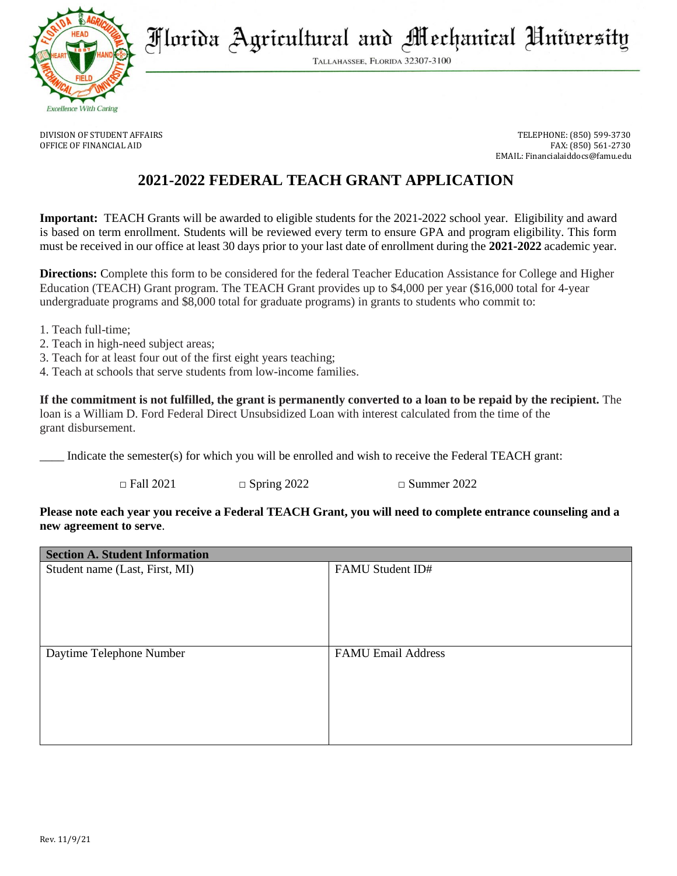

Florida Agricultural and Mechanical University

TALLAHASSEE, FLORIDA 32307-3100

DIVISION OF STUDENT AFFAIRS TELEPHONE: (850) 599-3730 OFFICE OF FINANCIAL AID FAX: (850) 561-2730 EMAIL: Financialaiddocs@famu.edu

# **2021-2022 FEDERAL TEACH GRANT APPLICATION**

**Important:** TEACH Grants will be awarded to eligible students for the 2021-2022 school year. Eligibility and award is based on term enrollment. Students will be reviewed every term to ensure GPA and program eligibility. This form must be received in our office at least 30 days prior to your last date of enrollment during the **2021-2022** academic year.

**Directions:** Complete this form to be considered for the federal Teacher Education Assistance for College and Higher Education (TEACH) Grant program. The TEACH Grant provides up to \$4,000 per year (\$16,000 total for 4-year undergraduate programs and \$8,000 total for graduate programs) in grants to students who commit to:

- 1. Teach full-time;
- 2. Teach in high-need subject areas;
- 3. Teach for at least four out of the first eight years teaching;
- 4. Teach at schools that serve students from low-income families.

**If the commitment is not fulfilled, the grant is permanently converted to a loan to be repaid by the recipient.** The loan is a William D. Ford Federal Direct Unsubsidized Loan with interest calculated from the time of the grant disbursement.

Indicate the semester(s) for which you will be enrolled and wish to receive the Federal TEACH grant:

 $\Box$  Fall 2021  $\Box$  Spring 2022  $\Box$  Summer 2022

# **Please note each year you receive a Federal TEACH Grant, you will need to complete entrance counseling and a new agreement to serve**.

| <b>Section A. Student Information</b> |                           |
|---------------------------------------|---------------------------|
| Student name (Last, First, MI)        | FAMU Student ID#          |
|                                       |                           |
|                                       |                           |
|                                       |                           |
|                                       |                           |
|                                       |                           |
| Daytime Telephone Number              | <b>FAMU Email Address</b> |
|                                       |                           |
|                                       |                           |
|                                       |                           |
|                                       |                           |
|                                       |                           |
|                                       |                           |